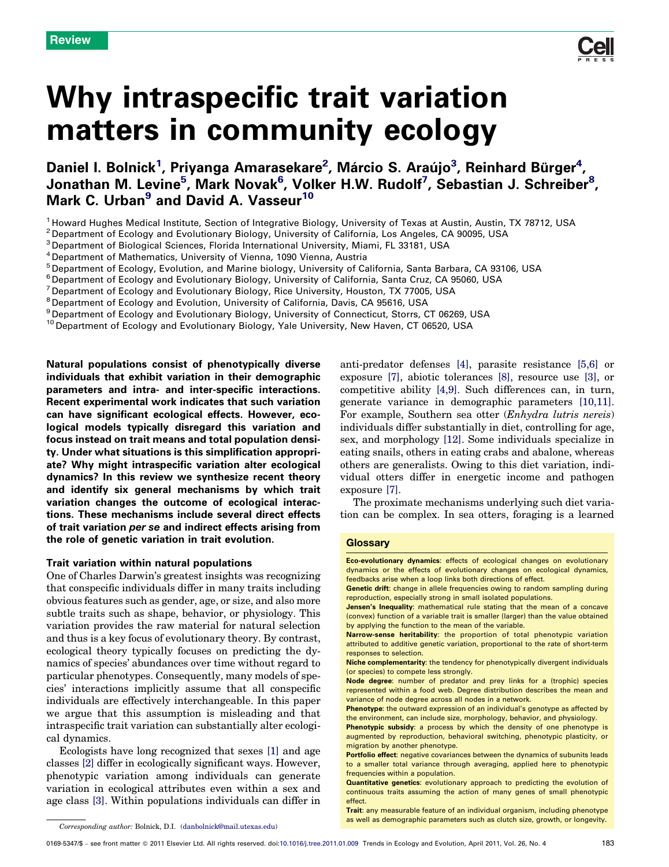Why intraspecific trait variation matters in community ecology

Daniel I. Bolnick<sup>1</sup>, Priyanga Amarasekare<sup>2</sup>, Márcio S. Araújo<sup>3</sup>, Reinhard Bürger<sup>4</sup>, Jonathan M. Levine<sup>5</sup>, Mark Novak<sup>6</sup>, Volker H.W. Rudolf<sup>7</sup>, Sebastian J. Schreiber<sup>8</sup>, Mark C. Urban<sup>9</sup> and David A. Vasseur<sup>10</sup>

<sup>1</sup> Howard Hughes Medical Institute, Section of Integrative Biology, University of Texas at Austin, Austin, TX 78712, USA

<sup>2</sup> Department of Ecology and Evolutionary Biology, University of California, Los Angeles, CA 90095, USA

<sup>3</sup> Department of Biological Sciences, Florida International University, Miami, FL 33181, USA

<sup>4</sup> Department of Mathematics, University of Vienna, 1090 Vienna, Austria

<sup>5</sup> Department of Ecology, Evolution, and Marine biology, University of California, Santa Barbara, CA 93106, USA

<sup>6</sup> Department of Ecology and Evolutionary Biology, University of California, Santa Cruz, CA 95060, USA

<sup>7</sup> Department of Ecology and Evolutionary Biology, Rice University, Houston, TX 77005, USA

<sup>8</sup> Department of Ecology and Evolution, University of California, Davis, CA 95616, USA

<sup>9</sup> Department of Ecology and Evolutionary Biology, University of Connecticut, Storrs, CT 06269, USA

<sup>10</sup> Department of Ecology and Evolutionary Biology, Yale University, New Haven, CT 06520, USA

Natural populations consist of phenotypically diverse individuals that exhibit variation in their demographic parameters and intra- and inter-specific interactions. Recent experimental work indicates that such variation can have significant ecological effects. However, ecological models typically disregard this variation and focus instead on trait means and total population density. Under what situations is this simplification appropriate? Why might intraspecific variation alter ecological dynamics? In this review we synthesize recent theory and identify six general mechanisms by which trait variation changes the outcome of ecological interactions. These mechanisms include several direct effects of trait variation per se and indirect effects arising from the role of genetic variation in trait evolution.

#### Trait variation within natural populations

One of Charles Darwin's greatest insights was recognizing that conspecific individuals differ in many traits including obvious features such as gender, age, or size, and also more subtle traits such as shape, behavior, or physiology. This variation provides the raw material for natural selection and thus is a key focus of evolutionary theory. By contrast, ecological theory typically focuses on predicting the dynamics of species' abundances over time without regard to particular phenotypes. Consequently, many models of species' interactions implicitly assume that all conspecific individuals are effectively interchangeable. In this paper we argue that this assumption is misleading and that intraspecific trait variation can substantially alter ecological dynamics.

Ecologists have long recognized that sexes [\[1\]](#page-7-0) and age classes [\[2\]](#page-7-0) differ in ecologically significant ways. However, phenotypic variation among individuals can generate variation in ecological attributes even within a sex and age class [\[3\].](#page-7-0) Within populations individuals can differ in

anti-predator defenses [\[4\]](#page-7-0), parasite resistance [\[5,6\]](#page-7-0) or exposure [\[7\]](#page-7-0), abiotic tolerances [\[8\]](#page-7-0), resource use [\[3\],](#page-7-0) or competitive ability [\[4,9\].](#page-7-0) Such differences can, in turn, generate variance in demographic parameters [\[10,11\]](#page-7-0). For example, Southern sea otter (Enhydra lutris nereis) individuals differ substantially in diet, controlling for age, sex, and morphology [\[12\].](#page-8-0) Some individuals specialize in eating snails, others in eating crabs and abalone, whereas others are generalists. Owing to this diet variation, individual otters differ in energetic income and pathogen exposure [\[7\].](#page-7-0)

The proximate mechanisms underlying such diet variation can be complex. In sea otters, foraging is a learned

### **Glossarv**

Eco-evolutionary dynamics: effects of ecological changes on evolutionary dynamics or the effects of evolutionary changes on ecological dynamics, feedbacks arise when a loop links both directions of effect.

Genetic drift: change in allele frequencies owing to random sampling during reproduction, especially strong in small isolated populations.

Jensen's Inequality: mathematical rule stating that the mean of a concave (convex) function of a variable trait is smaller (larger) than the value obtained by applying the function to the mean of the variable.

Narrow-sense heritability: the proportion of total phenotypic variation attributed to additive genetic variation, proportional to the rate of short-term responses to selection.

Niche complementarity: the tendency for phenotypically divergent individuals (or species) to compete less strongly.

Node degree: number of predator and prey links for a (trophic) species represented within a food web. Degree distribution describes the mean and variance of node degree across all nodes in a network.

Phenotype: the outward expression of an individual's genotype as affected by the environment, can include size, morphology, behavior, and physiology.

Phenotypic subsidy: a process by which the density of one phenotype is augmented by reproduction, behavioral switching, phenotypic plasticity, or migration by another phenotype.

**Portfolio effect:** negative covariances between the dynamics of subunits leads to a smaller total variance through averaging, applied here to phenotypic frequencies within a population.

Quantitative genetics: evolutionary approach to predicting the evolution of continuous traits assuming the action of many genes of small phenotypic effect.

Trait: any measurable feature of an individual organism, including phenotype as well as demographic parameters such as clutch size, growth, or longevity.



Corresponding author: Bolnick, D.I. ([danbolnick@mail.utexas.edu\)](mailto:danbolnick@mail.utexas.edu)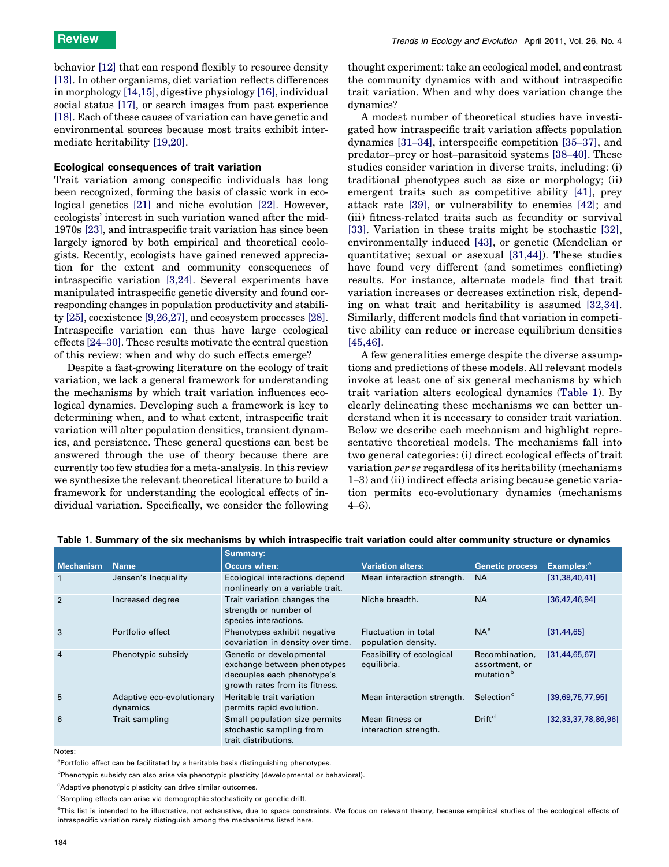behavior [\[12\]](#page-8-0) that can respond flexibly to resource density [\[13\]](#page-8-0). In other organisms, diet variation reflects differences in morphology [\[14,15\]](#page-8-0), digestive physiology [\[16\],](#page-8-0) individual social status [\[17\]](#page-8-0), or search images from past experience [\[18\]](#page-8-0). Each of these causes of variation can have genetic and environmental sources because most traits exhibit intermediate heritability [\[19,20\].](#page-8-0)

## Ecological consequences of trait variation

Trait variation among conspecific individuals has long been recognized, forming the basis of classic work in ecological genetics [\[21\]](#page-8-0) and niche evolution [\[22\].](#page-8-0) However, ecologists' interest in such variation waned after the mid-1970s [\[23\],](#page-8-0) and intraspecific trait variation has since been largely ignored by both empirical and theoretical ecologists. Recently, ecologists have gained renewed appreciation for the extent and community consequences of intraspecific variation [\[3,24\]](#page-7-0). Several experiments have manipulated intraspecific genetic diversity and found corresponding changes in population productivity and stability [\[25\],](#page-8-0) coexistence [\[9,26,27\],](#page-7-0) and ecosystem processes [\[28\]](#page-8-0). Intraspecific variation can thus have large ecological effects [24–[30\].](#page-8-0) These results motivate the central question of this review: when and why do such effects emerge?

Despite a fast-growing literature on the ecology of trait variation, we lack a general framework for understanding the mechanisms by which trait variation influences ecological dynamics. Developing such a framework is key to determining when, and to what extent, intraspecific trait variation will alter population densities, transient dynamics, and persistence. These general questions can best be answered through the use of theory because there are currently too few studies for a meta-analysis. In this review we synthesize the relevant theoretical literature to build a framework for understanding the ecological effects of individual variation. Specifically, we consider the following thought experiment: take an ecological model, and contrast the community dynamics with and without intraspecific trait variation. When and why does variation change the dynamics?

A modest number of theoretical studies have investigated how intraspecific trait variation affects population dynamics [\[31](#page-8-0)–34], interspecific competition [35–[37\]](#page-8-0), and predator–prey or host–parasitoid systems [38–[40\]](#page-8-0). These studies consider variation in diverse traits, including: (i) traditional phenotypes such as size or morphology; (ii) emergent traits such as competitive ability [\[41\]](#page-8-0), prey attack rate [\[39\]](#page-8-0), or vulnerability to enemies [\[42\];](#page-8-0) and (iii) fitness-related traits such as fecundity or survival [\[33\].](#page-8-0) Variation in these traits might be stochastic [\[32\]](#page-8-0), environmentally induced [\[43\]](#page-8-0), or genetic (Mendelian or quantitative; sexual or asexual [\[31,44\]\)](#page-8-0). These studies have found very different (and sometimes conflicting) results. For instance, alternate models find that trait variation increases or decreases extinction risk, depending on what trait and heritability is assumed [\[32,34\]](#page-8-0). Similarly, different models find that variation in competitive ability can reduce or increase equilibrium densities [\[45,46\].](#page-8-0)

A few generalities emerge despite the diverse assumptions and predictions of these models. All relevant models invoke at least one of six general mechanisms by which trait variation alters ecological dynamics (Table 1). By clearly delineating these mechanisms we can better understand when it is necessary to consider trait variation. Below we describe each mechanism and highlight representative theoretical models. The mechanisms fall into two general categories: (i) direct ecological effects of trait variation per se regardless of its heritability (mechanisms 1–3) and (ii) indirect effects arising because genetic variation permits eco-evolutionary dynamics (mechanisms 4–6).

|                  |                                       | Summary:                                                                                                                |                                             |                                               |                          |
|------------------|---------------------------------------|-------------------------------------------------------------------------------------------------------------------------|---------------------------------------------|-----------------------------------------------|--------------------------|
| <b>Mechanism</b> | <b>Name</b>                           | Occurs when:                                                                                                            | <b>Variation alters:</b>                    | <b>Genetic process</b>                        | Examples: <sup>e</sup>   |
|                  | Jensen's Inequality                   | Ecological interactions depend<br>nonlinearly on a variable trait.                                                      | Mean interaction strength.                  | <b>NA</b>                                     | [31, 38, 40, 41]         |
| $\overline{2}$   | Increased degree                      | Trait variation changes the<br>strength or number of<br>species interactions.                                           | Niche breadth.                              | <b>NA</b>                                     | [36, 42, 46, 94]         |
| 3                | Portfolio effect                      | Phenotypes exhibit negative<br>covariation in density over time.                                                        | Fluctuation in total<br>population density. | $NA^a$                                        | [31, 44, 65]             |
| $\overline{4}$   | Phenotypic subsidy                    | Genetic or developmental<br>exchange between phenotypes<br>decouples each phenotype's<br>growth rates from its fitness. | Feasibility of ecological<br>equilibria.    | Recombination,<br>assortment, or<br>mutationb | [31, 44, 65, 67]         |
| 5                | Adaptive eco-evolutionary<br>dynamics | Heritable trait variation<br>permits rapid evolution.                                                                   | Mean interaction strength.                  | Selection <sup>c</sup>                        | [39,69,75,77,95]         |
| 6                | Trait sampling                        | Small population size permits<br>stochastic sampling from<br>trait distributions.                                       | Mean fitness or<br>interaction strength.    | Drift <sup>d</sup>                            | [32, 33, 37, 78, 86, 96] |

Table 1. Summary of the six mechanisms by which intraspecific trait variation could alter community structure or dynamics

Notes:

<sup>a</sup>Portfolio effect can be facilitated by a heritable basis distinguishing phenotypes.

<sup>b</sup>Phenotypic subsidy can also arise via phenotypic plasticity (developmental or behavioral).

<sup>c</sup>Adaptive phenotypic plasticity can drive similar outcomes.

<sup>d</sup>Sampling effects can arise via demographic stochasticity or genetic drift.

e This list is intended to be illustrative, not exhaustive, due to space constraints. We focus on relevant theory, because empirical studies of the ecological effects of intraspecific variation rarely distinguish among the mechanisms listed here.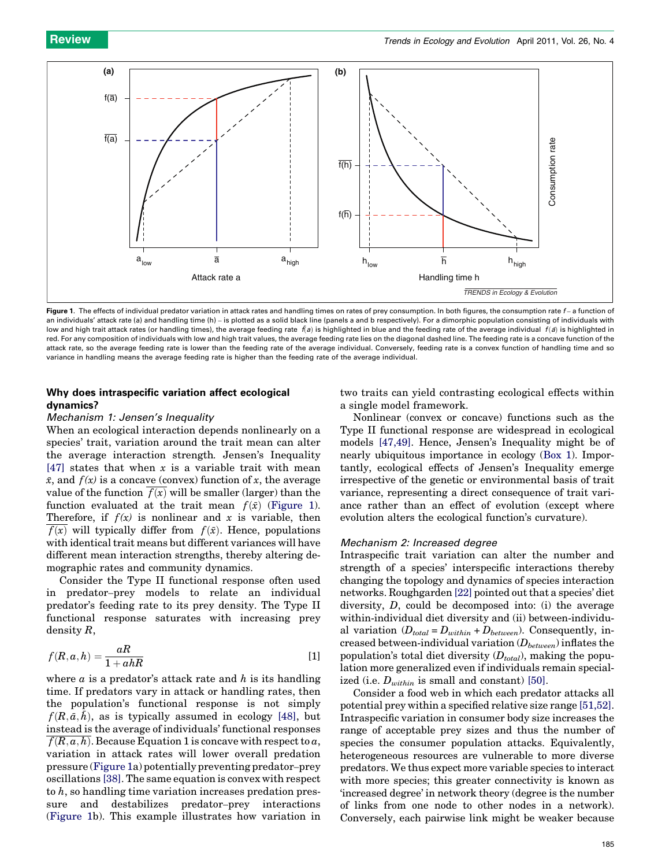

Figure 1. The effects of individual predator variation in attack rates and handling times on rates of prey consumption. In both figures, the consumption rate f-a function of an individuals' attack rate (a) and handling time (h) – is plotted as a solid black line (panels a and b respectively). For a dimorphic population consisting of individuals with low and high trait attack rates (or handling times), the average feeding rate  $\bar{f}(a)$  is highlighted in blue and the feeding rate of the average individual  $f(a)$  is highlighted in red. For any composition of individuals with low and high trait values, the average feeding rate lies on the diagonal dashed line. The feeding rate is a concave function of the attack rate, so the average feeding rate is lower than the feeding rate of the average individual. Conversely, feeding rate is a convex function of handling time and so variance in handling means the average feeding rate is higher than the feeding rate of the average individual.

# Why does intraspecific variation affect ecological dynamics?

# Mechanism 1: Jensen's Inequality

When an ecological interaction depends nonlinearly on a species' trait, variation around the trait mean can alter the average interaction strength. Jensen's Inequality [\[47\]](#page-8-0) states that when  $x$  is a variable trait with mean  $\bar{x}$ , and  $f(x)$  is a concave (convex) function of x, the average value of the function  $f(x)$  will be smaller (larger) than the function evaluated at the trait mean  $f(\bar{x})$  (Figure 1). Therefore, if  $f(x)$  is nonlinear and x is variable, then  $f(x)$  will typically differ from  $f(\bar{x})$ . Hence, populations with identical trait means but different variances will have different mean interaction strengths, thereby altering demographic rates and community dynamics.

Consider the Type II functional response often used in predator–prey models to relate an individual predator's feeding rate to its prey density. The Type II functional response saturates with increasing prey density R,

$$
f(R, a, h) = \frac{aR}{1 + ahR}
$$
 [1]

where  $\alpha$  is a predator's attack rate and  $h$  is its handling time. If predators vary in attack or handling rates, then the population's functional response is not simply  $f(R,\bar{a},\bar{h})$ , as is typically assumed in ecology [\[48\]](#page-8-0), but instead is the average of individuals' functional responses  $f(R, a, h)$ . Because Equation 1 is concave with respect to a, variation in attack rates will lower overall predation pressure (Figure 1a) potentially preventing predator–prey oscillations [\[38\]](#page-8-0). The same equation is convex with respect to  $h$ , so handling time variation increases predation pressure and destabilizes predator–prey interactions (Figure 1b). This example illustrates how variation in two traits can yield contrasting ecological effects within a single model framework.

Nonlinear (convex or concave) functions such as the Type II functional response are widespread in ecological models [\[47,49\]](#page-8-0). Hence, Jensen's Inequality might be of nearly ubiquitous importance in ecology ([Box 1](#page-3-0)). Importantly, ecological effects of Jensen's Inequality emerge irrespective of the genetic or environmental basis of trait variance, representing a direct consequence of trait variance rather than an effect of evolution (except where evolution alters the ecological function's curvature).

## Mechanism 2: Increased degree

Intraspecific trait variation can alter the number and strength of a species' interspecific interactions thereby changing the topology and dynamics of species interaction networks. Roughgarden [\[22\]](#page-8-0) pointed out that a species' diet diversity, D, could be decomposed into: (i) the average within-individual diet diversity and (ii) between-individual variation  $(D_{total} = D_{within} + D_{between})$ . Consequently, increased between-individual variation  $(D_{between})$  inflates the population's total diet diversity  $(D_{total})$ , making the population more generalized even if individuals remain specialized (i.e.  $D_{within}$  is small and constant) [\[50\].](#page-8-0)

Consider a food web in which each predator attacks all potential prey within a specified relative size range [\[51,52\]](#page-8-0). Intraspecific variation in consumer body size increases the range of acceptable prey sizes and thus the number of species the consumer population attacks. Equivalently, heterogeneous resources are vulnerable to more diverse predators. We thus expect more variable species to interact with more species; this greater connectivity is known as 'increased degree' in network theory (degree is the number of links from one node to other nodes in a network). Conversely, each pairwise link might be weaker because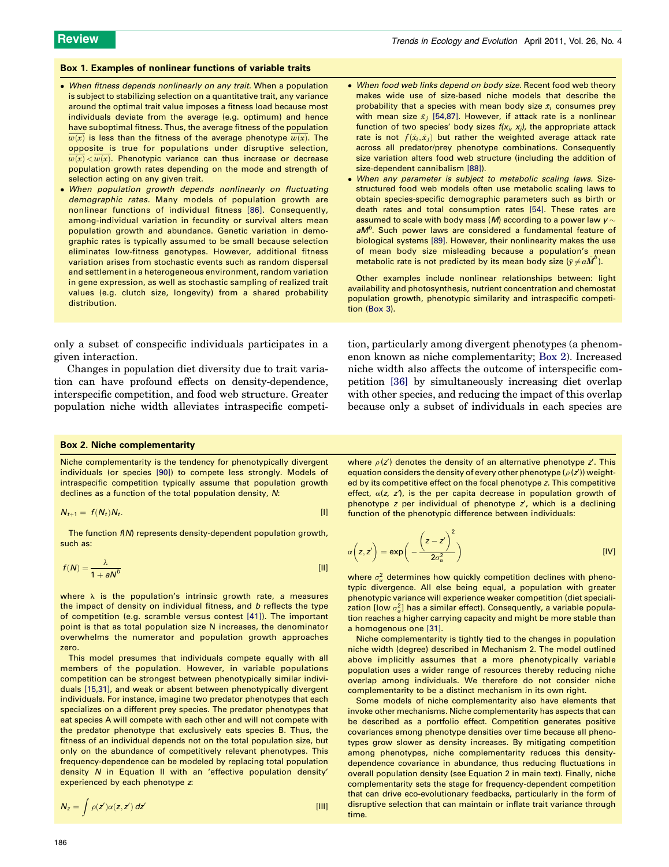#### <span id="page-3-0"></span>Box 1. Examples of nonlinear functions of variable traits

- When fitness depends nonlinearly on any trait. When a population is subject to stabilizing selection on a quantitative trait, any variance around the optimal trait value imposes a fitness load because most individuals deviate from the average (e.g. optimum) and hence have suboptimal fitness. Thus, the average fitness of the population  $\overline{w(x)}$  is less than the fitness of the average phenotype  $\overline{w(x)}$ . The opposite is true for populations under disruptive selection,  $\overline{w(x)} < \overline{w(x)}$ . Phenotypic variance can thus increase or decrease population growth rates depending on the mode and strength of selection acting on any given trait.
- When population growth depends nonlinearly on fluctuating demographic rates. Many models of population growth are nonlinear functions of individual fitness [\[86\]](#page-9-0). Consequently, among-individual variation in fecundity or survival alters mean population growth and abundance. Genetic variation in demographic rates is typically assumed to be small because selection eliminates low-fitness genotypes. However, additional fitness variation arises from stochastic events such as random dispersal and settlement in a heterogeneous environment, random variation in gene expression, as well as stochastic sampling of realized trait values (e.g. clutch size, longevity) from a shared probability distribution.

only a subset of conspecific individuals participates in a given interaction.

Changes in population diet diversity due to trait variation can have profound effects on density-dependence, interspecific competition, and food web structure. Greater population niche width alleviates intraspecific competi-

- When food web links depend on body size. Recent food web theory makes wide use of size-based niche models that describe the probability that a species with mean body size  $\bar{x}_i$  consumes prey with mean size  $\bar{x}_j$  [\[54,87\].](#page-8-0) However, if attack rate is a nonlinear function of two species' body sizes  $f(x_i, x_j)$ , the appropriate attack rate is not  $f(\bar{x}_i, \bar{x}_j)$  but rather the weighted average attack rate across all predator/prey phenotype combinations. Consequently size variation alters food web structure (including the addition of size-dependent cannibalism [\[88\]\)](#page-9-0).
- When any parameter is subject to metabolic scaling laws. Sizestructured food web models often use metabolic scaling laws to obtain species-specific demographic parameters such as birth or death rates and total consumption rates [\[54\]](#page-8-0). These rates are assumed to scale with body mass (M) according to a power law  $y \sim$ aM<sup>b</sup>. Such power laws are considered a fundamental feature of biological systems [\[89\]](#page-9-0). However, their nonlinearity makes the use of mean body size misleading because a population's mean metabolic rate is not predicted by its mean body size  $(\bar{y} \neq a\bar{M}^b)$ .

Other examples include nonlinear relationships between: light availability and photosynthesis, nutrient concentration and chemostat population growth, phenotypic similarity and intraspecific competition [\(Box 3\)](#page-5-0).

tion, particularly among divergent phenotypes (a phenomenon known as niche complementarity; Box 2). Increased niche width also affects the outcome of interspecific competition [\[36\]](#page-8-0) by simultaneously increasing diet overlap with other species, and reducing the impact of this overlap because only a subset of individuals in each species are

### Box 2. Niche complementarity

Niche complementarity is the tendency for phenotypically divergent individuals (or species [\[90\]](#page-9-0)) to compete less strongly. Models of intraspecific competition typically assume that population growth declines as a function of the total population density, N:

$$
N_{t+1} = f(N_t)N_t. \tag{1}
$$

The function  $f(N)$  represents density-dependent population growth, such as:

$$
f(N) = \frac{\lambda}{1 + aN^b} \tag{11}
$$

where  $\lambda$  is the population's intrinsic growth rate, a measures the impact of density on individual fitness, and  $b$  reflects the type of competition (e.g. scramble versus contest [\[41\]\)](#page-8-0). The important point is that as total population size N increases, the denominator overwhelms the numerator and population growth approaches zero.

This model presumes that individuals compete equally with all members of the population. However, in variable populations competition can be strongest between phenotypically similar individuals [\[15,31\],](#page-8-0) and weak or absent between phenotypically divergent individuals. For instance, imagine two predator phenotypes that each specializes on a different prey species. The predator phenotypes that eat species A will compete with each other and will not compete with the predator phenotype that exclusively eats species B. Thus, the fitness of an individual depends not on the total population size, but only on the abundance of competitively relevant phenotypes. This frequency-dependence can be modeled by replacing total population density N in Equation II with an 'effective population density' experienced by each phenotype z:

$$
N_z = \int \rho(z') \alpha(z, z') \, dz' \tag{[11]}
$$

where  $\rho$  (z') denotes the density of an alternative phenotype z'. This equation considers the density of every other phenotype ( $\rho$ ( $z'$ )) weighted by its competitive effect on the focal phenotype z. This competitive effect,  $\alpha(z, z')$ , is the per capita decrease in population growth of phenotype  $z$  per individual of phenotype  $z'$ , which is a declining function of the phenotypic difference between individuals:

$$
\alpha\left(z,z'\right) = \exp\left(-\frac{\left(z-z'\right)^2}{2\sigma_{\alpha}^2}\right) \tag{IV}
$$

where  $\sigma_{\alpha}^2$  determines how quickly competition declines with phenotypic divergence. All else being equal, a population with greater phenotypic variance will experience weaker competition (diet specialization [low  $\sigma_{\alpha}^2$ ] has a similar effect). Consequently, a variable population reaches a higher carrying capacity and might be more stable than a homogenous one [\[31\].](#page-8-0)

Niche complementarity is tightly tied to the changes in population niche width (degree) described in Mechanism 2. The model outlined above implicitly assumes that a more phenotypically variable population uses a wider range of resources thereby reducing niche overlap among individuals. We therefore do not consider niche complementarity to be a distinct mechanism in its own right.

Some models of niche complementarity also have elements that invoke other mechanisms. Niche complementarity has aspects that can be described as a portfolio effect. Competition generates positive covariances among phenotype densities over time because all phenotypes grow slower as density increases. By mitigating competition among phenotypes, niche complementarity reduces this densitydependence covariance in abundance, thus reducing fluctuations in overall population density (see Equation 2 in main text). Finally, niche complementarity sets the stage for frequency-dependent competition that can drive eco-evolutionary feedbacks, particularly in the form of disruptive selection that can maintain or inflate trait variance through time.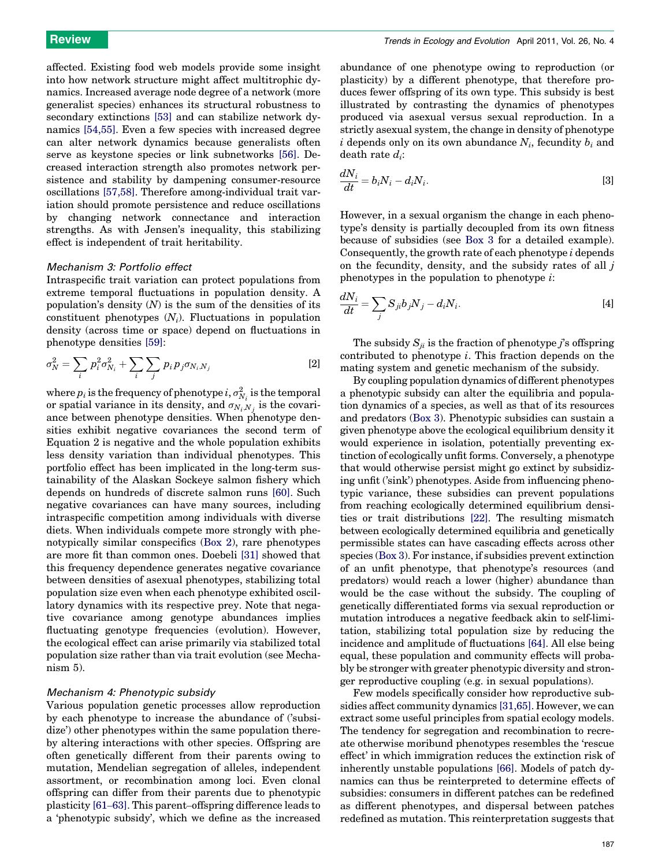affected. Existing food web models provide some insight into how network structure might affect multitrophic dynamics. Increased average node degree of a network (more generalist species) enhances its structural robustness to secondary extinctions [\[53\]](#page-8-0) and can stabilize network dynamics [\[54,55\].](#page-8-0) Even a few species with increased degree can alter network dynamics because generalists often serve as keystone species or link subnetworks [\[56\].](#page-8-0) Decreased interaction strength also promotes network persistence and stability by dampening consumer-resource oscillations [\[57,58\].](#page-8-0) Therefore among-individual trait variation should promote persistence and reduce oscillations by changing network connectance and interaction strengths. As with Jensen's inequality, this stabilizing effect is independent of trait heritability.

### Mechanism 3: Portfolio effect

Intraspecific trait variation can protect populations from extreme temporal fluctuations in population density. A population's density  $(N)$  is the sum of the densities of its constituent phenotypes  $(N_i)$ . Fluctuations in population density (across time or space) depend on fluctuations in phenotype densities [\[59\]](#page-8-0):

$$
\sigma_N^2 = \sum_i p_i^2 \sigma_{N_i}^2 + \sum_i \sum_j p_i p_j \sigma_{N_i, N_j}
$$
 [2]

where  $p_i$  is the frequency of phenotype  $i, \sigma_{N_i}^2$  is the temporal or spatial variance in its density, and  $\sigma_{N_i,N_j}$  is the covariance between phenotype densities. When phenotype densities exhibit negative covariances the second term of Equation 2 is negative and the whole population exhibits less density variation than individual phenotypes. This portfolio effect has been implicated in the long-term sustainability of the Alaskan Sockeye salmon fishery which depends on hundreds of discrete salmon runs [\[60\].](#page-8-0) Such negative covariances can have many sources, including intraspecific competition among individuals with diverse diets. When individuals compete more strongly with phenotypically similar conspecifics ([Box 2](#page-3-0)), rare phenotypes are more fit than common ones. Doebeli [\[31\]](#page-8-0) showed that this frequency dependence generates negative covariance between densities of asexual phenotypes, stabilizing total population size even when each phenotype exhibited oscillatory dynamics with its respective prey. Note that negative covariance among genotype abundances implies fluctuating genotype frequencies (evolution). However, the ecological effect can arise primarily via stabilized total population size rather than via trait evolution (see Mechanism 5).

## Mechanism 4: Phenotypic subsidy

Various population genetic processes allow reproduction by each phenotype to increase the abundance of ('subsidize') other phenotypes within the same population thereby altering interactions with other species. Offspring are often genetically different from their parents owing to mutation, Mendelian segregation of alleles, independent assortment, or recombination among loci. Even clonal offspring can differ from their parents due to phenotypic plasticity [\[61](#page-8-0)–63]. This parent–offspring difference leads to a 'phenotypic subsidy', which we define as the increased

abundance of one phenotype owing to reproduction (or plasticity) by a different phenotype, that therefore produces fewer offspring of its own type. This subsidy is best illustrated by contrasting the dynamics of phenotypes produced via asexual versus sexual reproduction. In a strictly asexual system, the change in density of phenotype i depends only on its own abundance  $N_i$ , fecundity  $b_i$  and death rate  $d_i$ :

$$
\frac{dN_i}{dt} = b_i N_i - d_i N_i.
$$
\n<sup>(3)</sup>

However, in a sexual organism the change in each phenotype's density is partially decoupled from its own fitness because of subsidies (see [Box 3](#page-5-0) for a detailed example). Consequently, the growth rate of each phenotype i depends on the fecundity, density, and the subsidy rates of all  $j$ phenotypes in the population to phenotype  $i$ :

$$
\frac{dN_i}{dt} = \sum_j S_{ji} b_j N_j - d_i N_i.
$$
 [4]

The subsidy  $S_{ii}$  is the fraction of phenotype j's offspring contributed to phenotype  $i$ . This fraction depends on the mating system and genetic mechanism of the subsidy.

By coupling population dynamics of different phenotypes a phenotypic subsidy can alter the equilibria and population dynamics of a species, as well as that of its resources and predators [\(Box 3\)](#page-5-0). Phenotypic subsidies can sustain a given phenotype above the ecological equilibrium density it would experience in isolation, potentially preventing extinction of ecologically unfit forms. Conversely, a phenotype that would otherwise persist might go extinct by subsidizing unfit ('sink') phenotypes. Aside from influencing phenotypic variance, these subsidies can prevent populations from reaching ecologically determined equilibrium densities or trait distributions [\[22\].](#page-8-0) The resulting mismatch between ecologically determined equilibria and genetically permissible states can have cascading effects across other species ([Box 3](#page-5-0)). For instance, if subsidies prevent extinction of an unfit phenotype, that phenotype's resources (and predators) would reach a lower (higher) abundance than would be the case without the subsidy. The coupling of genetically differentiated forms via sexual reproduction or mutation introduces a negative feedback akin to self-limitation, stabilizing total population size by reducing the incidence and amplitude of fluctuations [\[64\].](#page-8-0) All else being equal, these population and community effects will probably be stronger with greater phenotypic diversity and stronger reproductive coupling (e.g. in sexual populations).

Few models specifically consider how reproductive subsidies affect community dynamics [\[31,65\].](#page-8-0) However, we can extract some useful principles from spatial ecology models. The tendency for segregation and recombination to recreate otherwise moribund phenotypes resembles the 'rescue effect' in which immigration reduces the extinction risk of inherently unstable populations [\[66\]](#page-8-0). Models of patch dynamics can thus be reinterpreted to determine effects of subsidies: consumers in different patches can be redefined as different phenotypes, and dispersal between patches redefined as mutation. This reinterpretation suggests that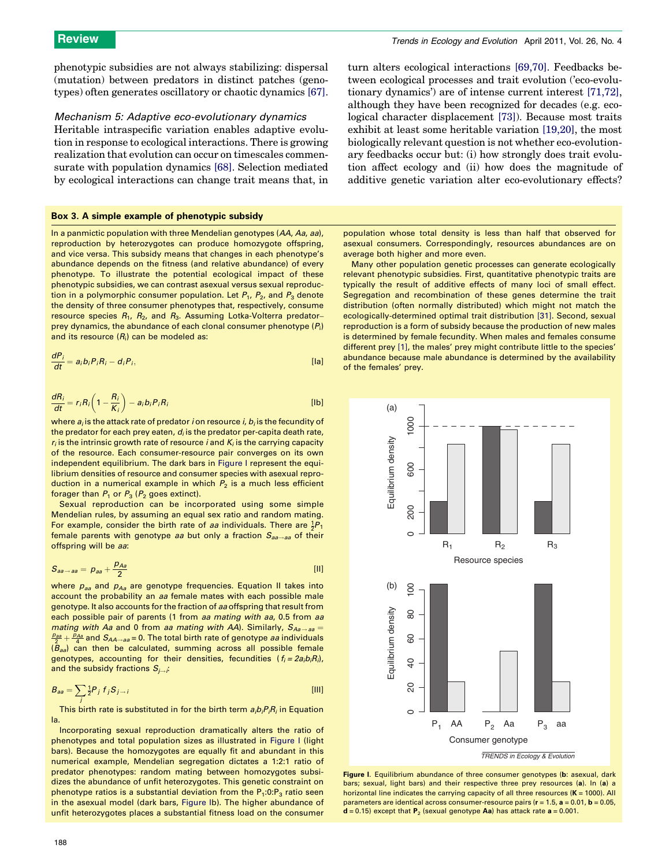<span id="page-5-0"></span>phenotypic subsidies are not always stabilizing: dispersal (mutation) between predators in distinct patches (genotypes) often generates oscillatory or chaotic dynamics [\[67\]](#page-8-0).

## Mechanism 5: Adaptive eco-evolutionary dynamics

Heritable intraspecific variation enables adaptive evolution in response to ecological interactions. There is growing realization that evolution can occur on timescales commensurate with population dynamics [\[68\]](#page-8-0). Selection mediated by ecological interactions can change trait means that, in

## Box 3. A simple example of phenotypic subsidy

In a panmictic population with three Mendelian genotypes (AA, Aa, aa), reproduction by heterozygotes can produce homozygote offspring, and vice versa. This subsidy means that changes in each phenotype's abundance depends on the fitness (and relative abundance) of every phenotype. To illustrate the potential ecological impact of these phenotypic subsidies, we can contrast asexual versus sexual reproduction in a polymorphic consumer population. Let  $P_1$ ,  $P_2$ , and  $P_3$  denote the density of three consumer phenotypes that, respectively, consume resource species  $R_1$ ,  $R_2$ , and  $R_3$ . Assuming Lotka-Volterra predatorprey dynamics, the abundance of each clonal consumer phenotype  $(P_i)$ and its resource  $(R_i)$  can be modeled as:

$$
\frac{dP_i}{dt} = a_i b_i P_i R_i - d_i P_i,
$$
 [la]

$$
\frac{dR_i}{dt} = r_i R_i \left( 1 - \frac{R_i}{K_i} \right) - a_i b_i P_i R_i
$$
 [lb]

where  $a_i$  is the attack rate of predator *i* on resource *i*,  $b_i$  is the fecundity of the predator for each prey eaten,  $d_i$  is the predator per-capita death rate,  $r_i$  is the intrinsic growth rate of resource *i* and  $K_i$  is the carrying capacity of the resource. Each consumer-resource pair converges on its own independent equilibrium. The dark bars in Figure I represent the equilibrium densities of resource and consumer species with asexual reproduction in a numerical example in which  $P_2$  is a much less efficient forager than  $P_1$  or  $P_3$  ( $P_2$  goes extinct).

Sexual reproduction can be incorporated using some simple Mendelian rules, by assuming an equal sex ratio and random mating. For example, consider the birth rate of *aa* individuals. There are  $\frac{1}{2}P_1$ female parents with genotype aa but only a fraction  $S_{aa\rightarrow aa}$  of their offspring will be aa:

$$
S_{aa\rightarrow aa} = p_{aa} + \frac{p_{Aa}}{2}
$$
 [11]

where  $p_{aa}$  and  $p_{Aa}$  are genotype frequencies. Equation II takes into account the probability an aa female mates with each possible male genotype. It also accounts for the fraction of aa offspring that result from each possible pair of parents (1 from aa mating with aa, 0.5 from aa mating with Aa and 0 from aa mating with AA). Similarly,  $S_{Aa\rightarrow aa}$  =  $\frac{2\theta_{2\theta}}{2}+\frac{\rho_{A\theta}}{4}$  and  $S_{AA\rightarrow aa}$  = 0. The total birth rate of genotype *aa* individuals  $(B_{aa})$  can then be calculated, summing across all possible female genotypes, accounting for their densities, fecundities  $(f_i = 2a_i b_i R_i)$ , and the subsidy fractions  $S_{i\rightarrow i}$ :

$$
B_{aa} = \sum_{i} \frac{1}{2} P_i f_i S_{i \to i}
$$
 [III]

This birth rate is substituted in for the birth term  $a_i b_i P_i R_i$  in Equation Ia.

Incorporating sexual reproduction dramatically alters the ratio of phenotypes and total population sizes as illustrated in Figure I (light bars). Because the homozygotes are equally fit and abundant in this numerical example, Mendelian segregation dictates a 1:2:1 ratio of predator phenotypes: random mating between homozygotes subsidizes the abundance of unfit heterozygotes. This genetic constraint on phenotype ratios is a substantial deviation from the  $P_1:0:P_3$  ratio seen in the asexual model (dark bars, Figure Ib). The higher abundance of unfit heterozygotes places a substantial fitness load on the consumer

tween ecological processes and trait evolution ('eco-evolutionary dynamics') are of intense current interest [\[71,72\]](#page-8-0), although they have been recognized for decades (e.g. ecological character displacement [\[73\]\)](#page-8-0). Because most traits exhibit at least some heritable variation [\[19,20\]](#page-8-0), the most biologically relevant question is not whether eco-evolutionary feedbacks occur but: (i) how strongly does trait evolution affect ecology and (ii) how does the magnitude of additive genetic variation alter eco-evolutionary effects?

turn alters ecological interactions [\[69,70\].](#page-8-0) Feedbacks be-

population whose total density is less than half that observed for asexual consumers. Correspondingly, resources abundances are on average both higher and more even.

Many other population genetic processes can generate ecologically relevant phenotypic subsidies. First, quantitative phenotypic traits are typically the result of additive effects of many loci of small effect. Segregation and recombination of these genes determine the trait distribution (often normally distributed) which might not match the ecologically-determined optimal trait distribution [\[31\]](#page-8-0). Second, sexual reproduction is a form of subsidy because the production of new males is determined by female fecundity. When males and females consume different prey [\[1\]](#page-7-0), the males' prey might contribute little to the species' abundance because male abundance is determined by the availability of the females' prey.



Figure I. Equilibrium abundance of three consumer genotypes (b: asexual, dark bars; sexual, light bars) and their respective three prey resources (a). In (a) a horizontal line indicates the carrying capacity of all three resources  $(K = 1000)$ . All parameters are identical across consumer-resource pairs ( $r = 1.5$ ,  $a = 0.01$ ,  $b = 0.05$ ,  $d = 0.15$ ) except that  $P_2$  (sexual genotype Aa) has attack rate  $a = 0.001$ .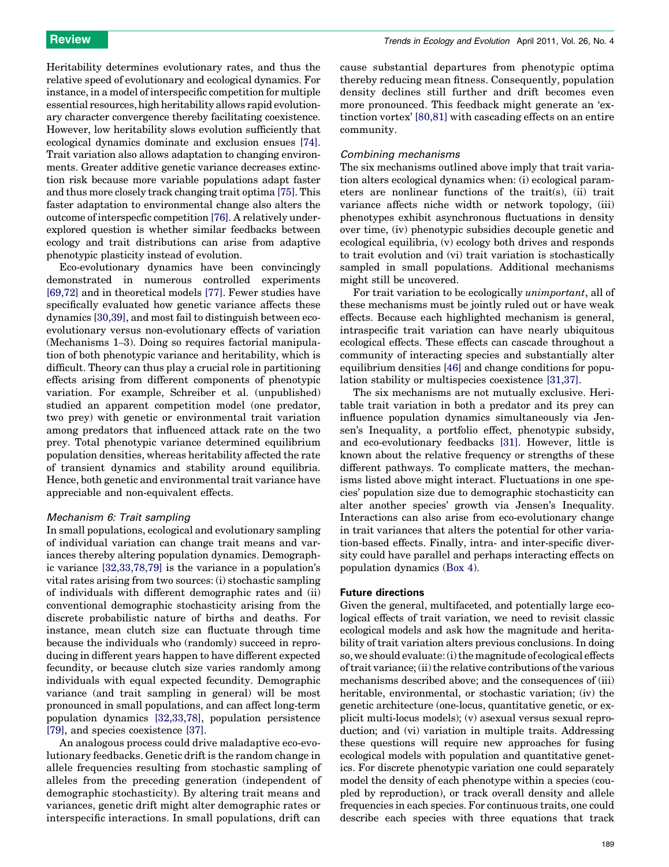Heritability determines evolutionary rates, and thus the relative speed of evolutionary and ecological dynamics. For instance, in a model of interspecific competition for multiple essential resources, high heritability allows rapid evolutionary character convergence thereby facilitating coexistence. However, low heritability slows evolution sufficiently that ecological dynamics dominate and exclusion ensues [\[74\]](#page-9-0). Trait variation also allows adaptation to changing environments. Greater additive genetic variance decreases extinction risk because more variable populations adapt faster and thus more closely track changing trait optima [\[75\]](#page-9-0). This faster adaptation to environmental change also alters the outcome of interspecfic competition [\[76\]](#page-9-0). A relatively underexplored question is whether similar feedbacks between ecology and trait distributions can arise from adaptive phenotypic plasticity instead of evolution.

Eco-evolutionary dynamics have been convincingly demonstrated in numerous controlled experiments [\[69,72\]](#page-8-0) and in theoretical models [\[77\]](#page-9-0). Fewer studies have specifically evaluated how genetic variance affects these dynamics [\[30,39\]](#page-8-0), and most fail to distinguish between ecoevolutionary versus non-evolutionary effects of variation (Mechanisms 1–3). Doing so requires factorial manipulation of both phenotypic variance and heritability, which is difficult. Theory can thus play a crucial role in partitioning effects arising from different components of phenotypic variation. For example, Schreiber et al. (unpublished) studied an apparent competition model (one predator, two prey) with genetic or environmental trait variation among predators that influenced attack rate on the two prey. Total phenotypic variance determined equilibrium population densities, whereas heritability affected the rate of transient dynamics and stability around equilibria. Hence, both genetic and environmental trait variance have appreciable and non-equivalent effects.

## Mechanism 6: Trait sampling

In small populations, ecological and evolutionary sampling of individual variation can change trait means and variances thereby altering population dynamics. Demographic variance [\[32,33,78,79\]](#page-8-0) is the variance in a population's vital rates arising from two sources: (i) stochastic sampling of individuals with different demographic rates and (ii) conventional demographic stochasticity arising from the discrete probabilistic nature of births and deaths. For instance, mean clutch size can fluctuate through time because the individuals who (randomly) succeed in reproducing in different years happen to have different expected fecundity, or because clutch size varies randomly among individuals with equal expected fecundity. Demographic variance (and trait sampling in general) will be most pronounced in small populations, and can affect long-term population dynamics [\[32,33,78\]](#page-8-0), population persistence [\[79\]](#page-9-0), and species coexistence [\[37\].](#page-8-0)

An analogous process could drive maladaptive eco-evolutionary feedbacks. Genetic drift is the random change in allele frequencies resulting from stochastic sampling of alleles from the preceding generation (independent of demographic stochasticity). By altering trait means and variances, genetic drift might alter demographic rates or interspecific interactions. In small populations, drift can

cause substantial departures from phenotypic optima thereby reducing mean fitness. Consequently, population density declines still further and drift becomes even more pronounced. This feedback might generate an 'extinction vortex' [\[80,81\]](#page-9-0) with cascading effects on an entire community.

## Combining mechanisms

The six mechanisms outlined above imply that trait variation alters ecological dynamics when: (i) ecological parameters are nonlinear functions of the trait(s), (ii) trait variance affects niche width or network topology, (iii) phenotypes exhibit asynchronous fluctuations in density over time, (iv) phenotypic subsidies decouple genetic and ecological equilibria, (v) ecology both drives and responds to trait evolution and (vi) trait variation is stochastically sampled in small populations. Additional mechanisms might still be uncovered.

For trait variation to be ecologically unimportant, all of these mechanisms must be jointly ruled out or have weak effects. Because each highlighted mechanism is general, intraspecific trait variation can have nearly ubiquitous ecological effects. These effects can cascade throughout a community of interacting species and substantially alter equilibrium densities [\[46\]](#page-8-0) and change conditions for population stability or multispecies coexistence [\[31,37\]](#page-8-0).

The six mechanisms are not mutually exclusive. Heritable trait variation in both a predator and its prey can influence population dynamics simultaneously via Jensen's Inequality, a portfolio effect, phenotypic subsidy, and eco-evolutionary feedbacks [\[31\]](#page-8-0). However, little is known about the relative frequency or strengths of these different pathways. To complicate matters, the mechanisms listed above might interact. Fluctuations in one species' population size due to demographic stochasticity can alter another species' growth via Jensen's Inequality. Interactions can also arise from eco-evolutionary change in trait variances that alters the potential for other variation-based effects. Finally, intra- and inter-specific diversity could have parallel and perhaps interacting effects on population dynamics ([Box 4\)](#page-7-0).

## Future directions

Given the general, multifaceted, and potentially large ecological effects of trait variation, we need to revisit classic ecological models and ask how the magnitude and heritability of trait variation alters previous conclusions. In doing so, we should evaluate: (i) the magnitude of ecological effects of trait variance; (ii) the relative contributions of the various mechanisms described above; and the consequences of (iii) heritable, environmental, or stochastic variation; (iv) the genetic architecture (one-locus, quantitative genetic, or explicit multi-locus models); (v) asexual versus sexual reproduction; and (vi) variation in multiple traits. Addressing these questions will require new approaches for fusing ecological models with population and quantitative genetics. For discrete phenotypic variation one could separately model the density of each phenotype within a species (coupled by reproduction), or track overall density and allele frequencies in each species. For continuous traits, one could describe each species with three equations that track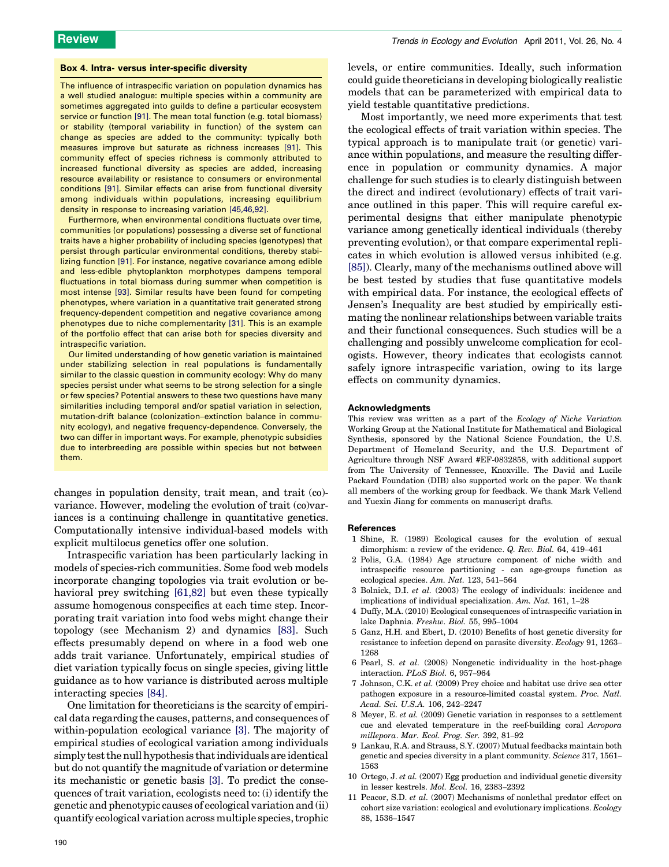#### <span id="page-7-0"></span>Box 4. Intra- versus inter-specific diversity

The influence of intraspecific variation on population dynamics has a well studied analogue: multiple species within a community are sometimes aggregated into guilds to define a particular ecosystem service or function [\[91\]](#page-9-0). The mean total function (e.g. total biomass) or stability (temporal variability in function) of the system can change as species are added to the community: typically both measures improve but saturate as richness increases [\[91\].](#page-9-0) This community effect of species richness is commonly attributed to increased functional diversity as species are added, increasing resource availability or resistance to consumers or environmental conditions [\[91\].](#page-9-0) Similar effects can arise from functional diversity among individuals within populations, increasing equilibrium density in response to increasing variation [\[45,46,92\].](#page-8-0)

Furthermore, when environmental conditions fluctuate over time, communities (or populations) possessing a diverse set of functional traits have a higher probability of including species (genotypes) that persist through particular environmental conditions, thereby stabilizing function [\[91\]](#page-9-0). For instance, negative covariance among edible and less-edible phytoplankton morphotypes dampens temporal fluctuations in total biomass during summer when competition is most intense [\[93\].](#page-9-0) Similar results have been found for competing phenotypes, where variation in a quantitative trait generated strong frequency-dependent competition and negative covariance among phenotypes due to niche complementarity [\[31\].](#page-8-0) This is an example of the portfolio effect that can arise both for species diversity and intraspecific variation.

Our limited understanding of how genetic variation is maintained under stabilizing selection in real populations is fundamentally similar to the classic question in community ecology: Why do many species persist under what seems to be strong selection for a single or few species? Potential answers to these two questions have many similarities including temporal and/or spatial variation in selection, mutation-drift balance (colonization–extinction balance in community ecology), and negative frequency-dependence. Conversely, the two can differ in important ways. For example, phenotypic subsidies due to interbreeding are possible within species but not between them.

changes in population density, trait mean, and trait (co) variance. However, modeling the evolution of trait (co)variances is a continuing challenge in quantitative genetics. Computationally intensive individual-based models with explicit multilocus genetics offer one solution.

Intraspecific variation has been particularly lacking in models of species-rich communities. Some food web models incorporate changing topologies via trait evolution or behavioral prey switching [\[61,82\]](#page-8-0) but even these typically assume homogenous conspecifics at each time step. Incorporating trait variation into food webs might change their topology (see Mechanism 2) and dynamics [\[83\].](#page-9-0) Such effects presumably depend on where in a food web one adds trait variance. Unfortunately, empirical studies of diet variation typically focus on single species, giving little guidance as to how variance is distributed across multiple interacting species [\[84\]](#page-9-0).

One limitation for theoreticians is the scarcity of empirical data regarding the causes, patterns, and consequences of within-population ecological variance [3]. The majority of empirical studies of ecological variation among individuals simply test the null hypothesis that individuals are identical but do not quantify the magnitude of variation or determine its mechanistic or genetic basis [3]. To predict the consequences of trait variation, ecologists need to: (i) identify the genetic and phenotypic causes of ecological variation and (ii) quantify ecological variation acrossmultiple species, trophic levels, or entire communities. Ideally, such information could guide theoreticians in developing biologically realistic models that can be parameterized with empirical data to yield testable quantitative predictions.

Most importantly, we need more experiments that test the ecological effects of trait variation within species. The typical approach is to manipulate trait (or genetic) variance within populations, and measure the resulting difference in population or community dynamics. A major challenge for such studies is to clearly distinguish between the direct and indirect (evolutionary) effects of trait variance outlined in this paper. This will require careful experimental designs that either manipulate phenotypic variance among genetically identical individuals (thereby preventing evolution), or that compare experimental replicates in which evolution is allowed versus inhibited (e.g. [\[85\]](#page-9-0)). Clearly, many of the mechanisms outlined above will be best tested by studies that fuse quantitative models with empirical data. For instance, the ecological effects of Jensen's Inequality are best studied by empirically estimating the nonlinear relationships between variable traits and their functional consequences. Such studies will be a challenging and possibly unwelcome complication for ecologists. However, theory indicates that ecologists cannot safely ignore intraspecific variation, owing to its large effects on community dynamics.

### Acknowledgments

This review was written as a part of the Ecology of Niche Variation Working Group at the National Institute for Mathematical and Biological Synthesis, sponsored by the National Science Foundation, the U.S. Department of Homeland Security, and the U.S. Department of Agriculture through NSF Award #EF-0832858, with additional support from The University of Tennessee, Knoxville. The David and Lucile Packard Foundation (DIB) also supported work on the paper. We thank all members of the working group for feedback. We thank Mark Vellend and Yuexin Jiang for comments on manuscript drafts.

#### **References**

- 1 Shine, R. (1989) Ecological causes for the evolution of sexual dimorphism: a review of the evidence. Q. Rev. Biol. 64, 419-461
- 2 Polis, G.A. (1984) Age structure component of niche width and intraspecific resource partitioning - can age-groups function as ecological species. Am. Nat. 123, 541–564
- 3 Bolnick, D.I. et al. (2003) The ecology of individuals: incidence and implications of individual specialization. Am. Nat. 161, 1–28
- 4 Duffy, M.A. (2010) Ecological consequences of intraspecific variation in lake Daphnia. Freshw. Biol. 55, 995–1004
- 5 Ganz, H.H. and Ebert, D. (2010) Benefits of host genetic diversity for resistance to infection depend on parasite diversity. Ecology 91, 1263– 1268
- 6 Pearl, S. et al. (2008) Nongenetic individuality in the host-phage interaction. PLoS Biol. 6, 957–964
- 7 Johnson, C.K. et al. (2009) Prey choice and habitat use drive sea otter pathogen exposure in a resource-limited coastal system. Proc. Natl. Acad. Sci. U.S.A. 106, 242–2247
- 8 Meyer, E. et al. (2009) Genetic variation in responses to a settlement cue and elevated temperature in the reef-building coral Acropora millepora. Mar. Ecol. Prog. Ser. 392, 81–92
- 9 Lankau, R.A. and Strauss, S.Y. (2007) Mutual feedbacks maintain both genetic and species diversity in a plant community. Science 317, 1561– 1563
- 10 Ortego, J. et al. (2007) Egg production and individual genetic diversity in lesser kestrels. Mol. Ecol. 16, 2383–2392
- 11 Peacor, S.D. et al. (2007) Mechanisms of nonlethal predator effect on cohort size variation: ecological and evolutionary implications. Ecology 88, 1536–1547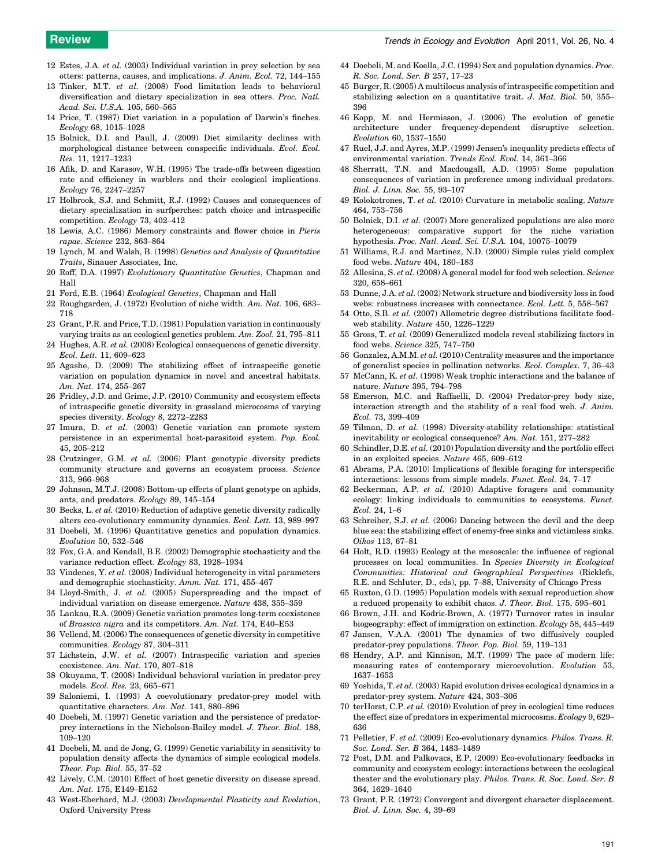- <span id="page-8-0"></span>12 Estes, J.A. et al. (2003) Individual variation in prey selection by sea otters: patterns, causes, and implications. J. Anim. Ecol. 72, 144–155
- Tinker, M.T. et al. (2008) Food limitation leads to behavioral diversification and dietary specialization in sea otters. Proc. Natl. Acad. Sci. U.S.A. 105, 560–565
- 14 Price, T. (1987) Diet variation in a population of Darwin's finches. Ecology 68, 1015–1028
- 15 Bolnick, D.I. and Paull, J. (2009) Diet similarity declines with morphological distance between conspecific individuals. Evol. Ecol. Res. 11, 1217–1233
- 16 Afik, D. and Karasov, W.H. (1995) The trade-offs between digestion rate and efficiency in warblers and their ecological implications. Ecology 76, 2247–2257
- 17 Holbrook, S.J. and Schmitt, R.J. (1992) Causes and consequences of dietary specialization in surfperches: patch choice and intraspecific competition. Ecology 73, 402–412
- 18 Lewis, A.C. (1986) Memory constraints and flower choice in Pieris rapae. Science 232, 863–864
- 19 Lynch, M. and Walsh, B. (1998) Genetics and Analysis of Quantitative Traits, Sinauer Associates, Inc.
- 20 Roff, D.A. (1997) Evolutionary Quantitative Genetics, Chapman and Hall
- 21 Ford, E.B. (1964) Ecological Genetics, Chapman and Hall
- 22 Roughgarden, J. (1972) Evolution of niche width. Am. Nat. 106, 683– 718
- 23 Grant, P.R. and Price, T.D. (1981) Population variation in continuously varying traits as an ecological genetics problem. Am. Zool. 21, 795–811
- 24 Hughes, A.R. et al. (2008) Ecological consequences of genetic diversity. Ecol. Lett. 11, 609–623
- 25 Agashe, D. (2009) The stabilizing effect of intraspecific genetic variation on population dynamics in novel and ancestral habitats. Am. Nat. 174, 255–267
- 26 Fridley, J.D. and Grime, J.P. (2010) Community and ecosystem effects of intraspecific genetic diversity in grassland microcosms of varying species diversity. Ecology 8, 2272–2283
- 27 Imura, D. et al. (2003) Genetic variation can promote system persistence in an experimental host-parasitoid system. Pop. Ecol. 45, 205–212
- 28 Crutzinger, G.M. et al. (2006) Plant genotypic diversity predicts community structure and governs an ecosystem process. Science 313, 966–968
- 29 Johnson, M.T.J. (2008) Bottom-up effects of plant genotype on aphids, ants, and predators. Ecology 89, 145–154
- 30 Becks, L. et al. (2010) Reduction of adaptive genetic diversity radically alters eco-evolutionary community dynamics. Ecol. Lett. 13, 989–997
- 31 Doebeli, M. (1996) Quantitative genetics and population dynamics. Evolution 50, 532–546
- 32 Fox, G.A. and Kendall, B.E. (2002) Demographic stochasticity and the variance reduction effect. Ecology 83, 1928–1934
- Vindenes, Y. et al. (2008) Individual heterogeneity in vital parameters and demographic stochasticity. Amm. Nat. 171, 455–467
- 34 Lloyd-Smith, J. et al. (2005) Superspreading and the impact of individual variation on disease emergence. Nature 438, 355–359
- 35 Lankau, R.A. (2009) Genetic variation promotes long-term coexistence of Brassica nigra and its competitors. Am. Nat. 174, E40–E53
- 36 Vellend, M. (2006) The consequences of genetic diversity in competitive communities. Ecology 87, 304–311
- 37 Lichstein, J.W. et al. (2007) Intraspecific variation and species coexistence. Am. Nat. 170, 807–818
- 38 Okuyama, T. (2008) Individual behavioral variation in predator-prey models. Ecol. Res. 23, 665–671
- 39 Saloniemi, I. (1993) A coevolutionary predator-prey model with quantitative characters. Am. Nat. 141, 880–896
- 40 Doebeli, M. (1997) Genetic variation and the persistence of predatorprey interactions in the Nicholson-Bailey model. J. Theor. Biol. 188, 109–120
- 41 Doebeli, M. and de Jong, G. (1999) Genetic variability in sensitivity to population density affects the dynamics of simple ecological models. Theor. Pop. Biol. 55, 37–52
- 42 Lively, C.M. (2010) Effect of host genetic diversity on disease spread. Am. Nat. 175, E149–E152
- 43 West-Eberhard, M.J. (2003) Developmental Plasticity and Evolution, Oxford University Press
- 44 Doebeli, M. and Koella, J.C. (1994) Sex and population dynamics. Proc. R. Soc. Lond. Ser. B 257, 17–23
- 45 Bürger, R. (2005) A multilocus analysis of intraspecific competition and stabilizing selection on a quantitative trait. J. Mat. Biol. 50, 355– 396
- 46 Kopp, M. and Hermisson, J. (2006) The evolution of genetic architecture under frequency-dependent disruptive selection. Evolution 60, 1537–1550
- 47 Ruel, J.J. and Ayres, M.P. (1999) Jensen's inequality predicts effects of environmental variation. Trends Ecol. Evol. 14, 361–366
- 48 Sherratt, T.N. and Macdougall, A.D. (1995) Some population consequences of variation in preference among individual predators. Biol. J. Linn. Soc. 55, 93–107
- 49 Kolokotrones, T. et al. (2010) Curvature in metabolic scaling. Nature 464, 753–756
- 50 Bolnick, D.I. et al. (2007) More generalized populations are also more heterogeneous: comparative support for the niche variation hypothesis. Proc. Natl. Acad. Sci. U.S.A. 104, 10075–10079
- 51 Williams, R.J. and Martinez, N.D. (2000) Simple rules yield complex food webs. Nature 404, 180–183
- 52 Allesina, S. et al. (2008) A general model for food web selection. Science 320, 658–661
- 53 Dunne, J.A. et al. (2002) Network structure and biodiversity loss in food webs: robustness increases with connectance. Ecol. Lett. 5, 558–567
- 54 Otto, S.B. et al. (2007) Allometric degree distributions facilitate foodweb stability. Nature 450, 1226–1229
- 55 Gross, T. et al. (2009) Generalized models reveal stabilizing factors in food webs. Science 325, 747–750
- 56 Gonzalez, A.M.M. et al. (2010) Centrality measures and the importance of generalist species in pollination networks. Ecol. Complex. 7, 36–43
- 57 McCann, K. et al. (1998) Weak trophic interactions and the balance of nature. Nature 395, 794–798
- 58 Emerson, M.C. and Raffaelli, D. (2004) Predator-prey body size, interaction strength and the stability of a real food web. J. Anim. Ecol. 73, 399–409
- 59 Tilman, D. et al. (1998) Diversity-stability relationships: statistical inevitability or ecological consequence? Am. Nat. 151, 277–282
- 60 Schindler, D.E. et al.  $(2010)$  Population diversity and the portfolio effect in an exploited species. Nature 465, 609–612
- 61 Abrams, P.A. (2010) Implications of flexible foraging for interspecific interactions: lessons from simple models. Funct. Ecol. 24, 7–17
- 62 Beckerman, A.P. et al. (2010) Adaptive foragers and community ecology: linking individuals to communities to ecosystems. Funct. Ecol. 24, 1–6
- 63 Schreiber, S.J. et al. (2006) Dancing between the devil and the deep blue sea: the stabilizing effect of enemy-free sinks and victimless sinks. Oikos 113, 67–81
- 64 Holt, R.D. (1993) Ecology at the mesoscale: the influence of regional processes on local communities. In Species Diversity in Ecological Communities: Historical and Geographical Perspectives (Ricklefs, R.E. and Schluter, D., eds), pp. 7–88, University of Chicago Press
- 65 Ruxton, G.D. (1995) Population models with sexual reproduction show a reduced propensity to exhibit chaos. J. Theor. Biol. 175, 595–601
- 66 Brown, J.H. and Kodric-Brown, A. (1977) Turnover rates in insular biogeography: effect of immigration on extinction. Ecology 58, 445–449
- 67 Jansen, V.A.A. (2001) The dynamics of two diffusively coupled predator-prey populations. Theor. Pop. Biol. 59, 119–131
- 68 Hendry, A.P. and Kinnison, M.T. (1999) The pace of modern life: measuring rates of contemporary microevolution. Evolution 53, 1637–1653
- 69 Yoshida, T. et al. (2003) Rapid evolution drives ecological dynamics in a predator-prey system. Nature 424, 303–306
- 70 terHorst, C.P. et al. (2010) Evolution of prey in ecological time reduces the effect size of predators in experimental microcosms. Ecology 9, 629– 636
- 71 Pelletier, F. et al. (2009) Eco-evolutionary dynamics. Philos. Trans. R. Soc. Lond. Ser. B 364, 1483–1489
- 72 Post, D.M. and Palkovacs, E.P. (2009) Eco-evolutionary feedbacks in community and ecosystem ecology: interactions between the ecological theater and the evolutionary play. Philos. Trans. R. Soc. Lond. Ser. B 364, 1629–1640
- 73 Grant, P.R. (1972) Convergent and divergent character displacement. Biol. J. Linn. Soc. 4, 39–69